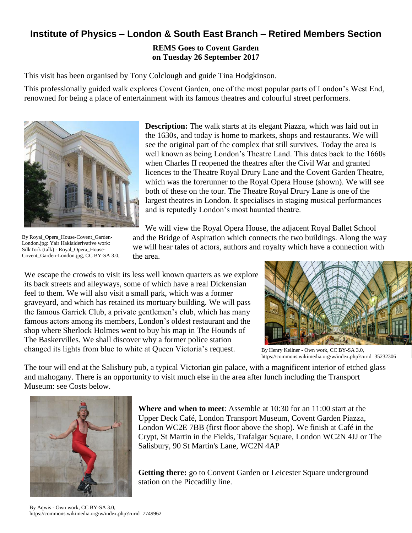## **Institute of Physics – London & South East Branch – Retired Members Section**

## **REMS Goes to Covent Garden on Tuesday 26 September 2017**

This visit has been organised by Tony Colclough and guide Tina Hodgkinson.

This professionally guided walk explores Covent Garden, one of the most popular parts of London's West End, renowned for being a place of entertainment with its famous theatres and colourful street performers.



By Royal\_Opera\_House-Covent\_Garden-London.jpg: Yair Haklaiderivative work: SilkTork (talk) - Royal\_Opera\_House-Covent\_Garden-London.jpg, CC BY-SA 3.0,

**Description:** The walk starts at its elegant Piazza, which was laid out in the 1630s, and today is home to markets, shops and restaurants. We will see the original part of the complex that still survives. Today the area is well known as being London's Theatre Land. This dates back to the 1660s when Charles II reopened the theatres after the Civil War and granted licences to the Theatre Royal Drury Lane and the Covent Garden Theatre, which was the forerunner to the Royal Opera House (shown). We will see both of these on the tour. The Theatre Royal Drury Lane is one of the largest theatres in London. It specialises in staging musical performances and is reputedly London's most haunted theatre.

We will view the Royal Opera House, the adjacent Royal Ballet School and the Bridge of Aspiration which connects the two buildings. Along the way we will hear tales of actors, authors and royalty which have a connection with the area.

We escape the crowds to visit its less well known quarters as we explore its back streets and alleyways, some of which have a real Dickensian feel to them. We will also visit a small park, which was a former graveyard, and which has retained its mortuary building. We will pass the famous Garrick Club, a private gentlemen's club, which has many famous actors among its members, London's oldest restaurant and the shop where Sherlock Holmes went to buy his map in The Hounds of The Baskervilles. We shall discover why a former police station changed its lights from blue to white at Queen Victoria's request.



By Henry Kellner - Own work, CC BY-SA 3.0, https://commons.wikimedia.org/w/index.php?curid=35232306

The tour will end at the Salisbury pub, a typical Victorian gin palace, with a magnificent interior of etched glass and mahogany. There is an opportunity to visit much else in the area after lunch including the Transport Museum: see Costs below.



**Where and when to meet**: Assemble at 10:30 for an 11:00 start at the Upper Deck Café, London Transport Museum, Covent Garden Piazza, London WC2E 7BB (first floor above the shop). We finish at Café in the Crypt, St Martin in the Fields, Trafalgar Square, London WC2N 4JJ or The Salisbury, 90 St Martin's Lane, WC2N 4AP

**Getting there:** go to Convent Garden or Leicester Square underground station on the Piccadilly line.